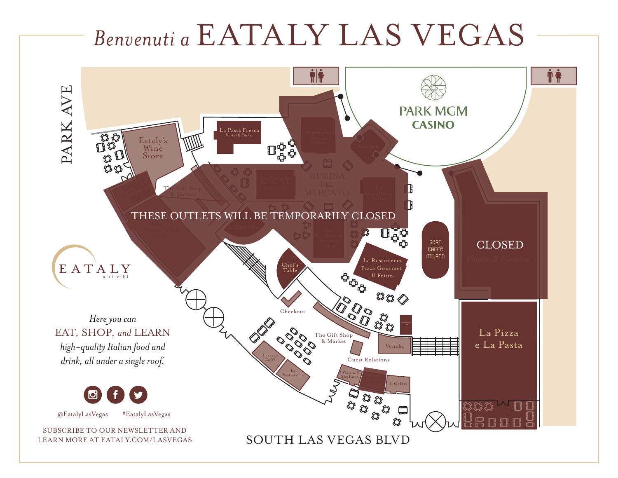# *Benvenuti a* EATALY LAS VEGAS